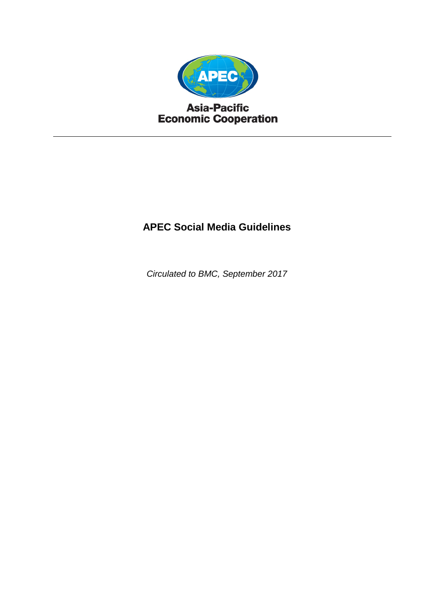

## **Asia-Pacific Economic Cooperation**

# **APEC Social Media Guidelines**

*Circulated to BMC, September 2017*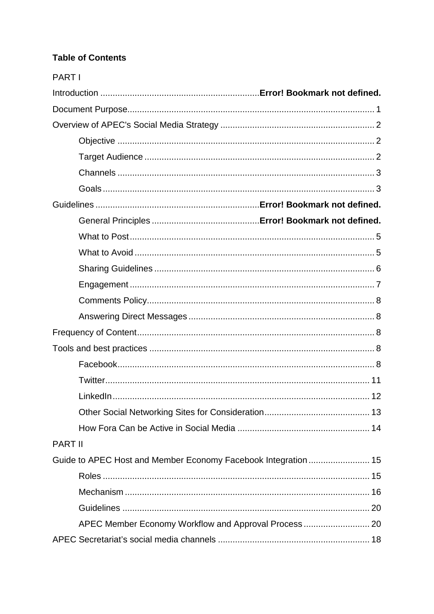## **Table of Contents**

| <b>PART I</b>  |  |
|----------------|--|
|                |  |
|                |  |
|                |  |
|                |  |
|                |  |
|                |  |
|                |  |
|                |  |
|                |  |
|                |  |
|                |  |
|                |  |
|                |  |
|                |  |
|                |  |
|                |  |
|                |  |
|                |  |
|                |  |
|                |  |
|                |  |
|                |  |
| <b>PART II</b> |  |
|                |  |
|                |  |
|                |  |
|                |  |
|                |  |
|                |  |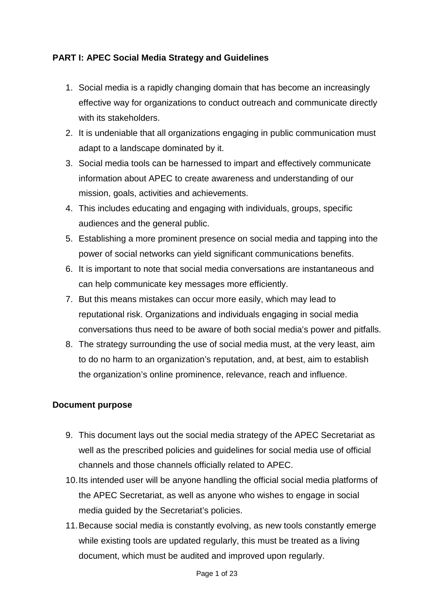## **PART I: APEC Social Media Strategy and Guidelines**

- 1. Social media is a rapidly changing domain that has become an increasingly effective way for organizations to conduct outreach and communicate directly with its stakeholders.
- 2. It is undeniable that all organizations engaging in public communication must adapt to a landscape dominated by it.
- 3. Social media tools can be harnessed to impart and effectively communicate information about APEC to create awareness and understanding of our mission, goals, activities and achievements.
- 4. This includes educating and engaging with individuals, groups, specific audiences and the general public.
- 5. Establishing a more prominent presence on social media and tapping into the power of social networks can yield significant communications benefits.
- 6. It is important to note that social media conversations are instantaneous and can help communicate key messages more efficiently.
- 7. But this means mistakes can occur more easily, which may lead to reputational risk. Organizations and individuals engaging in social media conversations thus need to be aware of both social media's power and pitfalls.
- 8. The strategy surrounding the use of social media must, at the very least, aim to do no harm to an organization's reputation, and, at best, aim to establish the organization's online prominence, relevance, reach and influence.

## **Document purpose**

- 9. This document lays out the social media strategy of the APEC Secretariat as well as the prescribed policies and guidelines for social media use of official channels and those channels officially related to APEC.
- 10.Its intended user will be anyone handling the official social media platforms of the APEC Secretariat, as well as anyone who wishes to engage in social media guided by the Secretariat's policies.
- 11.Because social media is constantly evolving, as new tools constantly emerge while existing tools are updated regularly, this must be treated as a living document, which must be audited and improved upon regularly.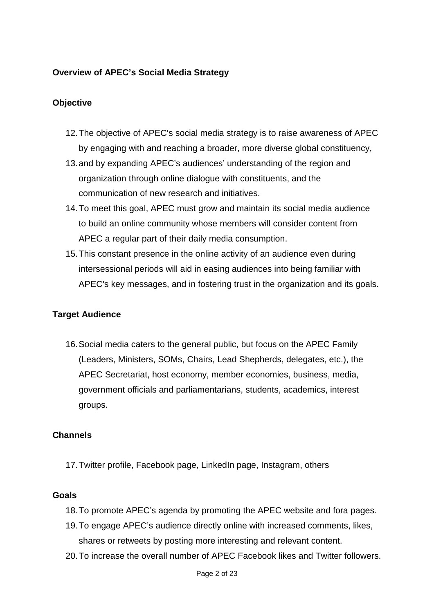## **Overview of APEC's Social Media Strategy**

## **Objective**

- 12.The objective of APEC's social media strategy is to raise awareness of APEC by engaging with and reaching a broader, more diverse global constituency,
- 13.and by expanding APEC's audiences' understanding of the region and organization through online dialogue with constituents, and the communication of new research and initiatives.
- 14.To meet this goal, APEC must grow and maintain its social media audience to build an online community whose members will consider content from APEC a regular part of their daily media consumption.
- 15.This constant presence in the online activity of an audience even during intersessional periods will aid in easing audiences into being familiar with APEC's key messages, and in fostering trust in the organization and its goals.

## **Target Audience**

16.Social media caters to the general public, but focus on the APEC Family (Leaders, Ministers, SOMs, Chairs, Lead Shepherds, delegates, etc.), the APEC Secretariat, host economy, member economies, business, media, government officials and parliamentarians, students, academics, interest groups.

## **Channels**

17.Twitter profile, Facebook page, LinkedIn page, Instagram, others

#### **Goals**

- 18.To promote APEC's agenda by promoting the APEC website and fora pages.
- 19.To engage APEC's audience directly online with increased comments, likes, shares or retweets by posting more interesting and relevant content.
- 20.To increase the overall number of APEC Facebook likes and Twitter followers.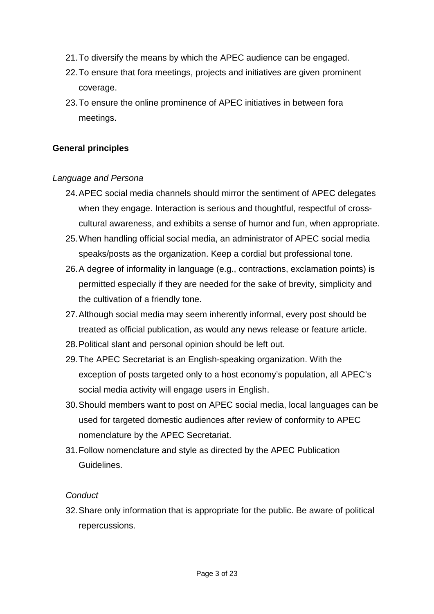- 21.To diversify the means by which the APEC audience can be engaged.
- 22.To ensure that fora meetings, projects and initiatives are given prominent coverage.
- 23.To ensure the online prominence of APEC initiatives in between fora meetings.

## **General principles**

## *Language and Persona*

- 24.APEC social media channels should mirror the sentiment of APEC delegates when they engage. Interaction is serious and thoughtful, respectful of crosscultural awareness, and exhibits a sense of humor and fun, when appropriate.
- 25.When handling official social media, an administrator of APEC social media speaks/posts as the organization. Keep a cordial but professional tone.
- 26.A degree of informality in language (e.g., contractions, exclamation points) is permitted especially if they are needed for the sake of brevity, simplicity and the cultivation of a friendly tone.
- 27.Although social media may seem inherently informal, every post should be treated as official publication, as would any news release or feature article.
- 28.Political slant and personal opinion should be left out.
- 29.The APEC Secretariat is an English-speaking organization. With the exception of posts targeted only to a host economy's population, all APEC's social media activity will engage users in English.
- 30.Should members want to post on APEC social media, local languages can be used for targeted domestic audiences after review of conformity to APEC nomenclature by the APEC Secretariat.
- 31.Follow nomenclature and style as directed by the APEC Publication Guidelines.

## *Conduct*

32.Share only information that is appropriate for the public. Be aware of political repercussions.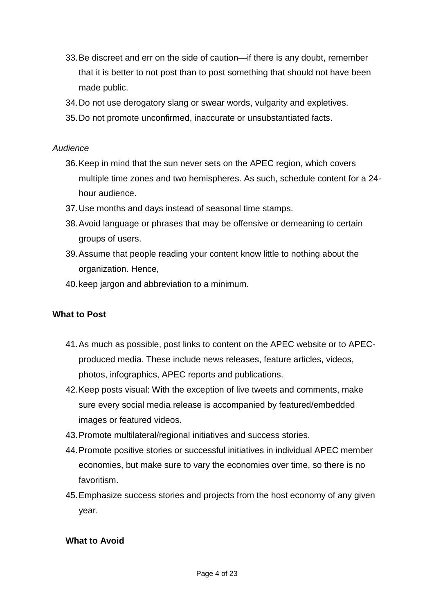- 33.Be discreet and err on the side of caution—if there is any doubt, remember that it is better to not post than to post something that should not have been made public.
- 34.Do not use derogatory slang or swear words, vulgarity and expletives.
- 35.Do not promote unconfirmed, inaccurate or unsubstantiated facts.

#### *Audience*

- 36.Keep in mind that the sun never sets on the APEC region, which covers multiple time zones and two hemispheres. As such, schedule content for a 24 hour audience.
- 37.Use months and days instead of seasonal time stamps.
- 38.Avoid language or phrases that may be offensive or demeaning to certain groups of users.
- 39.Assume that people reading your content know little to nothing about the organization. Hence,
- 40.keep jargon and abbreviation to a minimum.

## **What to Post**

- 41.As much as possible, post links to content on the APEC website or to APECproduced media. These include news releases, feature articles, videos, photos, infographics, APEC reports and publications.
- 42.Keep posts visual: With the exception of live tweets and comments, make sure every social media release is accompanied by featured/embedded images or featured videos.
- 43.Promote multilateral/regional initiatives and success stories.
- 44.Promote positive stories or successful initiatives in individual APEC member economies, but make sure to vary the economies over time, so there is no favoritism.
- 45.Emphasize success stories and projects from the host economy of any given year.

#### **What to Avoid**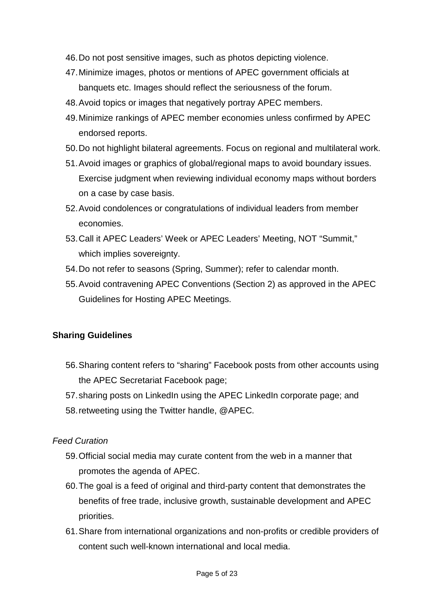- 46.Do not post sensitive images, such as photos depicting violence.
- 47.Minimize images, photos or mentions of APEC government officials at banquets etc. Images should reflect the seriousness of the forum.
- 48.Avoid topics or images that negatively portray APEC members.
- 49.Minimize rankings of APEC member economies unless confirmed by APEC endorsed reports.
- 50.Do not highlight bilateral agreements. Focus on regional and multilateral work.
- 51.Avoid images or graphics of global/regional maps to avoid boundary issues. Exercise judgment when reviewing individual economy maps without borders on a case by case basis.
- 52.Avoid condolences or congratulations of individual leaders from member economies.
- 53.Call it APEC Leaders' Week or APEC Leaders' Meeting, NOT "Summit," which implies sovereignty.
- 54.Do not refer to seasons (Spring, Summer); refer to calendar month.
- 55.Avoid contravening APEC Conventions (Section 2) as approved in the APEC Guidelines for Hosting APEC Meetings.

## **Sharing Guidelines**

- 56.Sharing content refers to "sharing" Facebook posts from other accounts using the APEC Secretariat Facebook page;
- 57.sharing posts on LinkedIn using the APEC LinkedIn corporate page; and
- 58.retweeting using the Twitter handle, @APEC.

*Feed Curation*

- 59.Official social media may curate content from the web in a manner that promotes the agenda of APEC.
- 60.The goal is a feed of original and third-party content that demonstrates the benefits of free trade, inclusive growth, sustainable development and APEC priorities.
- 61.Share from international organizations and non-profits or credible providers of content such well-known international and local media.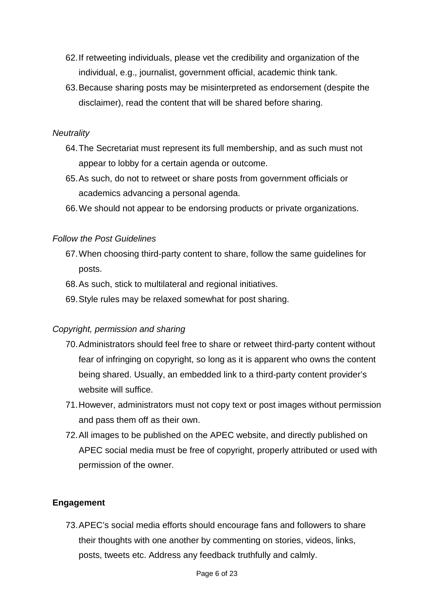- 62.If retweeting individuals, please vet the credibility and organization of the individual, e.g., journalist, government official, academic think tank.
- 63.Because sharing posts may be misinterpreted as endorsement (despite the disclaimer), read the content that will be shared before sharing.

### *Neutrality*

- 64.The Secretariat must represent its full membership, and as such must not appear to lobby for a certain agenda or outcome.
- 65.As such, do not to retweet or share posts from government officials or academics advancing a personal agenda.
- 66.We should not appear to be endorsing products or private organizations.

### *Follow the Post Guidelines*

- 67.When choosing third-party content to share, follow the same guidelines for posts.
- 68.As such, stick to multilateral and regional initiatives.
- 69.Style rules may be relaxed somewhat for post sharing.

## *Copyright, permission and sharing*

- 70.Administrators should feel free to share or retweet third-party content without fear of infringing on copyright, so long as it is apparent who owns the content being shared. Usually, an embedded link to a third-party content provider's website will suffice.
- 71.However, administrators must not copy text or post images without permission and pass them off as their own.
- 72.All images to be published on the APEC website, and directly published on APEC social media must be free of copyright, properly attributed or used with permission of the owner.

#### **Engagement**

73.APEC's social media efforts should encourage fans and followers to share their thoughts with one another by commenting on stories, videos, links, posts, tweets etc. Address any feedback truthfully and calmly.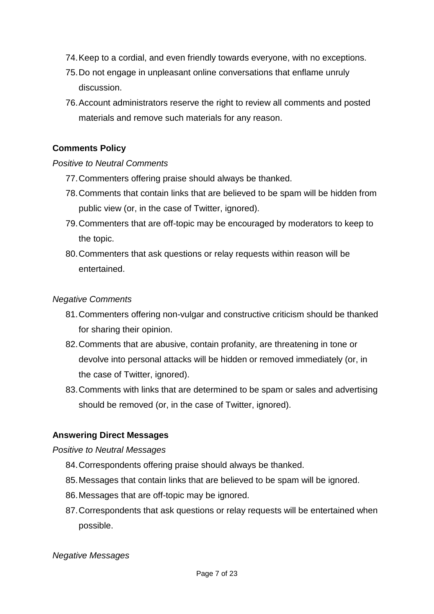- 74.Keep to a cordial, and even friendly towards everyone, with no exceptions.
- 75.Do not engage in unpleasant online conversations that enflame unruly discussion.
- 76.Account administrators reserve the right to review all comments and posted materials and remove such materials for any reason.

## **Comments Policy**

### *Positive to Neutral Comments*

- 77.Commenters offering praise should always be thanked.
- 78.Comments that contain links that are believed to be spam will be hidden from public view (or, in the case of Twitter, ignored).
- 79.Commenters that are off-topic may be encouraged by moderators to keep to the topic.
- 80.Commenters that ask questions or relay requests within reason will be entertained.

### *Negative Comments*

- 81.Commenters offering non-vulgar and constructive criticism should be thanked for sharing their opinion.
- 82.Comments that are abusive, contain profanity, are threatening in tone or devolve into personal attacks will be hidden or removed immediately (or, in the case of Twitter, ignored).
- 83.Comments with links that are determined to be spam or sales and advertising should be removed (or, in the case of Twitter, ignored).

## **Answering Direct Messages**

## *Positive to Neutral Messages*

- 84.Correspondents offering praise should always be thanked.
- 85.Messages that contain links that are believed to be spam will be ignored.
- 86.Messages that are off-topic may be ignored.
- 87.Correspondents that ask questions or relay requests will be entertained when possible.

#### *Negative Messages*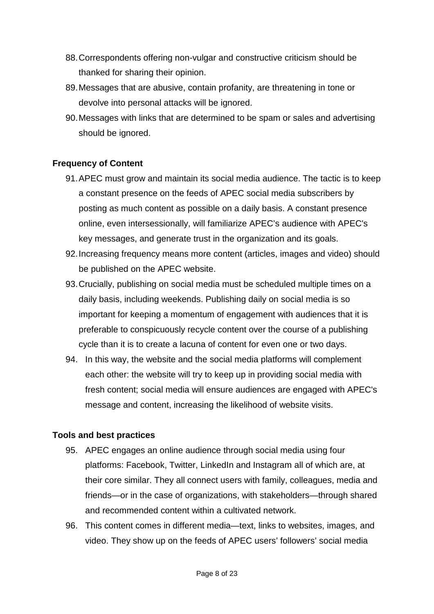- 88.Correspondents offering non-vulgar and constructive criticism should be thanked for sharing their opinion.
- 89.Messages that are abusive, contain profanity, are threatening in tone or devolve into personal attacks will be ignored.
- 90.Messages with links that are determined to be spam or sales and advertising should be ignored.

## **Frequency of Content**

- 91.APEC must grow and maintain its social media audience. The tactic is to keep a constant presence on the feeds of APEC social media subscribers by posting as much content as possible on a daily basis. A constant presence online, even intersessionally, will familiarize APEC's audience with APEC's key messages, and generate trust in the organization and its goals.
- 92.Increasing frequency means more content (articles, images and video) should be published on the APEC website.
- 93.Crucially, publishing on social media must be scheduled multiple times on a daily basis, including weekends. Publishing daily on social media is so important for keeping a momentum of engagement with audiences that it is preferable to conspicuously recycle content over the course of a publishing cycle than it is to create a lacuna of content for even one or two days.
- 94. In this way, the website and the social media platforms will complement each other: the website will try to keep up in providing social media with fresh content; social media will ensure audiences are engaged with APEC's message and content, increasing the likelihood of website visits.

## **Tools and best practices**

- 95. APEC engages an online audience through social media using four platforms: Facebook, Twitter, LinkedIn and Instagram all of which are, at their core similar. They all connect users with family, colleagues, media and friends—or in the case of organizations, with stakeholders—through shared and recommended content within a cultivated network.
- 96. This content comes in different media—text, links to websites, images, and video. They show up on the feeds of APEC users' followers' social media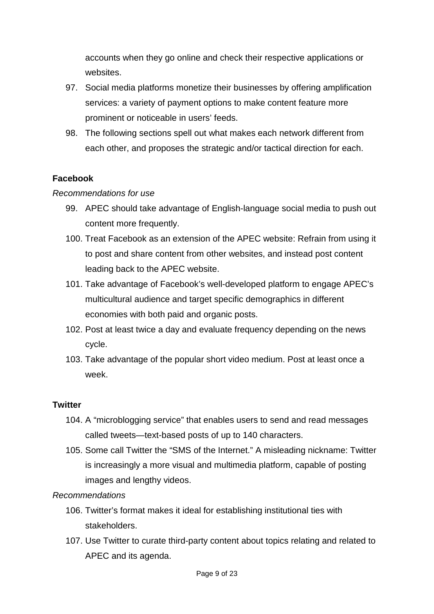accounts when they go online and check their respective applications or websites.

- 97. Social media platforms monetize their businesses by offering amplification services: a variety of payment options to make content feature more prominent or noticeable in users' feeds.
- 98. The following sections spell out what makes each network different from each other, and proposes the strategic and/or tactical direction for each.

## **Facebook**

### *Recommendations for use*

- 99. APEC should take advantage of English-language social media to push out content more frequently.
- 100. Treat Facebook as an extension of the APEC website: Refrain from using it to post and share content from other websites, and instead post content leading back to the APEC website.
- 101. Take advantage of Facebook's well-developed platform to engage APEC's multicultural audience and target specific demographics in different economies with both paid and organic posts.
- 102. Post at least twice a day and evaluate frequency depending on the news cycle.
- 103. Take advantage of the popular short video medium. Post at least once a week.

#### **Twitter**

- 104. A "microblogging service" that enables users to send and read messages called tweets—text-based posts of up to 140 characters.
- 105. Some call Twitter the "SMS of the Internet." A misleading nickname: Twitter is increasingly a more visual and multimedia platform, capable of posting images and lengthy videos.

#### *Recommendations*

- 106. Twitter's format makes it ideal for establishing institutional ties with stakeholders.
- 107. Use Twitter to curate third-party content about topics relating and related to APEC and its agenda.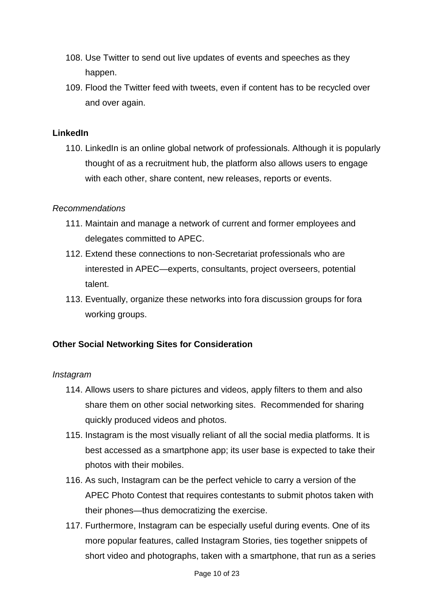- 108. Use Twitter to send out live updates of events and speeches as they happen.
- 109. Flood the Twitter feed with tweets, even if content has to be recycled over and over again.

### **LinkedIn**

110. LinkedIn is an online global network of professionals. Although it is popularly thought of as a recruitment hub, the platform also allows users to engage with each other, share content, new releases, reports or events.

### *Recommendations*

- 111. Maintain and manage a network of current and former employees and delegates committed to APEC.
- 112. Extend these connections to non-Secretariat professionals who are interested in APEC—experts, consultants, project overseers, potential talent.
- 113. Eventually, organize these networks into fora discussion groups for fora working groups.

## **Other Social Networking Sites for Consideration**

#### *Instagram*

- 114. Allows users to share pictures and videos, apply filters to them and also share them on other social networking sites. Recommended for sharing quickly produced videos and photos.
- 115. Instagram is the most visually reliant of all the social media platforms. It is best accessed as a smartphone app; its user base is expected to take their photos with their mobiles.
- 116. As such, Instagram can be the perfect vehicle to carry a version of the APEC Photo Contest that requires contestants to submit photos taken with their phones—thus democratizing the exercise.
- 117. Furthermore, Instagram can be especially useful during events. One of its more popular features, called Instagram Stories, ties together snippets of short video and photographs, taken with a smartphone, that run as a series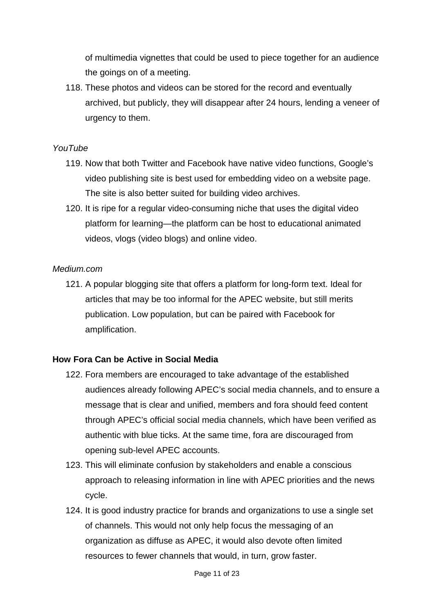of multimedia vignettes that could be used to piece together for an audience the goings on of a meeting.

118. These photos and videos can be stored for the record and eventually archived, but publicly, they will disappear after 24 hours, lending a veneer of urgency to them.

## *YouTube*

- 119. Now that both Twitter and Facebook have native video functions, Google's video publishing site is best used for embedding video on a website page. The site is also better suited for building video archives.
- 120. It is ripe for a regular video-consuming niche that uses the digital video platform for learning—the platform can be host to educational animated videos, vlogs (video blogs) and online video.

## *Medium.com*

121. A popular blogging site that offers a platform for long-form text. Ideal for articles that may be too informal for the APEC website, but still merits publication. Low population, but can be paired with Facebook for amplification.

## **How Fora Can be Active in Social Media**

- 122. Fora members are encouraged to take advantage of the established audiences already following APEC's social media channels, and to ensure a message that is clear and unified, members and fora should feed content through APEC's official social media channels, which have been verified as authentic with blue ticks. At the same time, fora are discouraged from opening sub-level APEC accounts.
- 123. This will eliminate confusion by stakeholders and enable a conscious approach to releasing information in line with APEC priorities and the news cycle.
- 124. It is good industry practice for brands and organizations to use a single set of channels. This would not only help focus the messaging of an organization as diffuse as APEC, it would also devote often limited resources to fewer channels that would, in turn, grow faster.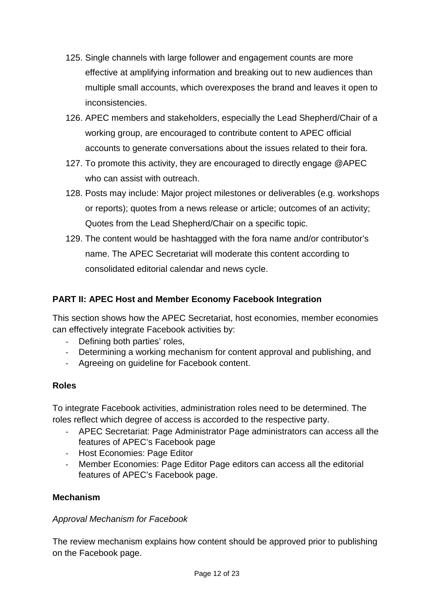- 125. Single channels with large follower and engagement counts are more effective at amplifying information and breaking out to new audiences than multiple small accounts, which overexposes the brand and leaves it open to inconsistencies.
- 126. APEC members and stakeholders, especially the Lead Shepherd/Chair of a working group, are encouraged to contribute content to APEC official accounts to generate conversations about the issues related to their fora.
- 127. To promote this activity, they are encouraged to directly engage @APEC who can assist with outreach.
- 128. Posts may include: Major project milestones or deliverables (e.g. workshops or reports); quotes from a news release or article; outcomes of an activity; Quotes from the Lead Shepherd/Chair on a specific topic.
- 129. The content would be hashtagged with the fora name and/or contributor's name. The APEC Secretariat will moderate this content according to consolidated editorial calendar and news cycle.

## **PART II: APEC Host and Member Economy Facebook Integration**

This section shows how the APEC Secretariat, host economies, member economies can effectively integrate Facebook activities by:

- Defining both parties' roles,
- Determining a working mechanism for content approval and publishing, and
- Agreeing on guideline for Facebook content.

## **Roles**

To integrate Facebook activities, administration roles need to be determined. The roles reflect which degree of access is accorded to the respective party.

- APEC Secretariat: Page Administrator Page administrators can access all the features of APEC's Facebook page
- Host Economies: Page Editor
- Member Economies: Page Editor Page editors can access all the editorial features of APEC's Facebook page.

## **Mechanism**

## *Approval Mechanism for Facebook*

The review mechanism explains how content should be approved prior to publishing on the Facebook page.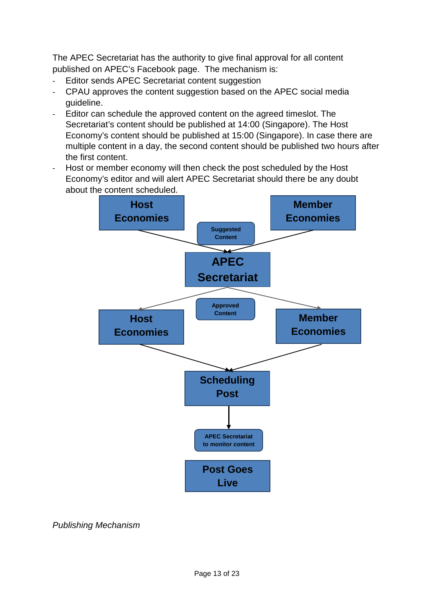The APEC Secretariat has the authority to give final approval for all content published on APEC's Facebook page. The mechanism is:

- Editor sends APEC Secretariat content suggestion
- CPAU approves the content suggestion based on the APEC social media guideline.
- Editor can schedule the approved content on the agreed timeslot. The Secretariat's content should be published at 14:00 (Singapore). The Host Economy's content should be published at 15:00 (Singapore). In case there are multiple content in a day, the second content should be published two hours after the first content.
- Host or member economy will then check the post scheduled by the Host Economy's editor and will alert APEC Secretariat should there be any doubt about the content scheduled.



*Publishing Mechanism*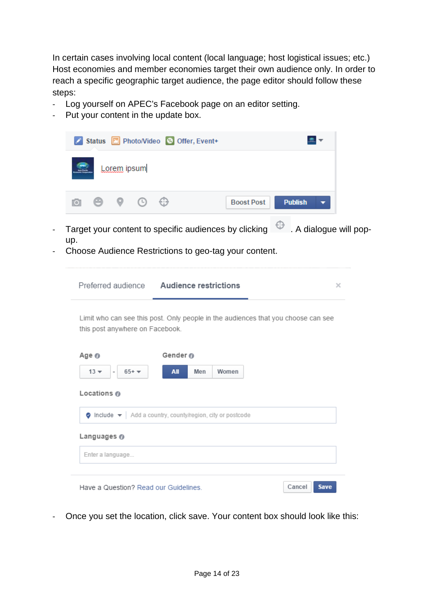In certain cases involving local content (local language; host logistical issues; etc.) Host economies and member economies target their own audience only. In order to reach a specific geographic target audience, the page editor should follow these steps:

- Log yourself on APEC's Facebook page on an editor setting.
- Put your content in the update box.

|                                                                          | Status <b>P</b> Photo/Video <b>&amp;</b> Offer, Event+                                   |                |
|--------------------------------------------------------------------------|------------------------------------------------------------------------------------------|----------------|
| Lorem ipsum                                                              |                                                                                          |                |
| ⊙<br>$\overline{\circ}$                                                  | ⊕<br><b>Boost Post</b>                                                                   | <b>Publish</b> |
|                                                                          | Target your content to specific audiences by clicking $\bigoplus$ . A dialogue will pop- |                |
|                                                                          | Choose Audience Restrictions to geo-tag your content.                                    |                |
|                                                                          |                                                                                          |                |
|                                                                          | Preferred audience Audience restrictions                                                 | $\times$       |
|                                                                          | Limit who can see this post. Only people in the audiences that you choose can see        |                |
|                                                                          |                                                                                          |                |
| this post anywhere on Facebook.<br>Age @<br>$65+$ $\star$<br>$13 \times$ | Gender @<br>All<br>Men<br>Women                                                          |                |
| Locations @                                                              |                                                                                          |                |
|                                                                          | $\bullet$ Include $\bullet$ Add a country, county/region, city or postcode               |                |
|                                                                          |                                                                                          |                |
| Languages @<br>Enter a language                                          |                                                                                          |                |
|                                                                          |                                                                                          |                |

- Once you set the location, click save. Your content box should look like this: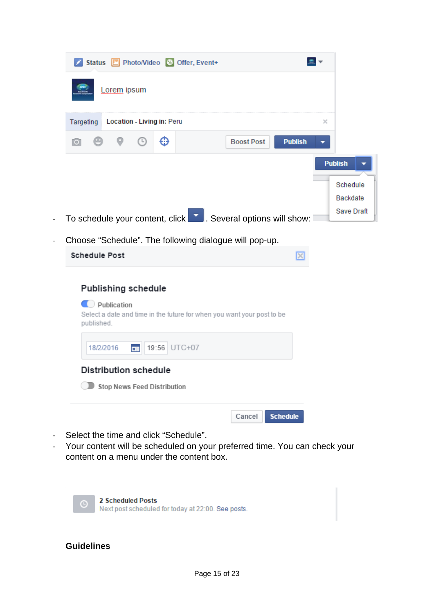|           |                                                                                    | Status <b>P</b> Photo/Video <b>S</b> Offer, Event+                                     |                   |                     |                                    |
|-----------|------------------------------------------------------------------------------------|----------------------------------------------------------------------------------------|-------------------|---------------------|------------------------------------|
|           | Lorem ipsum                                                                        |                                                                                        |                   |                     |                                    |
| Targeting | Location - Living in: Peru                                                         |                                                                                        |                   | ×                   |                                    |
| ГŌТ       | ⊙                                                                                  | ⊕                                                                                      | <b>Boost Post</b> | <b>Publish</b><br>▼ |                                    |
|           |                                                                                    | To schedule your content, click <b>X</b> . Several options will show:                  |                   | <b>Publish</b>      | Schedule<br>Backdate<br>Save Draft |
| -         |                                                                                    | Choose "Schedule". The following dialogue will pop-up.                                 |                   |                     |                                    |
|           | <b>Schedule Post</b>                                                               |                                                                                        |                   | ×                   |                                    |
|           | <b>Publishing schedule</b><br>Publication<br>published.<br>18/2/2016<br><b>COM</b> | Select a date and time in the future for when you want your post to be<br>19:56 UTC+07 |                   |                     |                                    |
|           | <b>Distribution schedule</b><br><b>Stop News Feed Distribution</b>                 |                                                                                        |                   |                     |                                    |



## **Guidelines**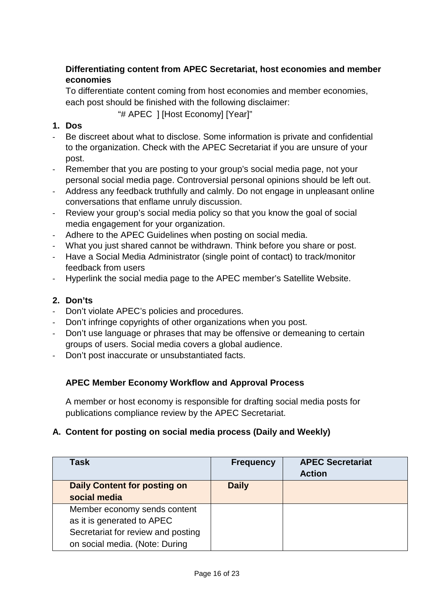## **Differentiating content from APEC Secretariat, host economies and member economies**

To differentiate content coming from host economies and member economies, each post should be finished with the following disclaimer:

"# APEC ] [Host Economy] [Year]"

## **1. Dos**

- Be discreet about what to disclose. Some information is private and confidential to the organization. Check with the APEC Secretariat if you are unsure of your post.
- Remember that you are posting to your group's social media page, not your personal social media page. Controversial personal opinions should be left out.
- Address any feedback truthfully and calmly. Do not engage in unpleasant online conversations that enflame unruly discussion.
- Review your group's social media policy so that you know the goal of social media engagement for your organization.
- Adhere to the APEC Guidelines when posting on social media.
- What you just shared cannot be withdrawn. Think before you share or post.
- Have a Social Media Administrator (single point of contact) to track/monitor feedback from users
- Hyperlink the social media page to the APEC member's Satellite Website.

## **2. Don'ts**

- Don't violate APEC's policies and procedures.
- Don't infringe copyrights of other organizations when you post.
- Don't use language or phrases that may be offensive or demeaning to certain groups of users. Social media covers a global audience.
- Don't post inaccurate or unsubstantiated facts.

## **APEC Member Economy Workflow and Approval Process**

A member or host economy is responsible for drafting social media posts for publications compliance review by the APEC Secretariat.

## **A. Content for posting on social media process (Daily and Weekly)**

| Task                                                                                                                               | <b>Frequency</b> | <b>APEC Secretariat</b><br><b>Action</b> |
|------------------------------------------------------------------------------------------------------------------------------------|------------------|------------------------------------------|
| <b>Daily Content for posting on</b><br>social media                                                                                | <b>Daily</b>     |                                          |
| Member economy sends content<br>as it is generated to APEC<br>Secretariat for review and posting<br>on social media. (Note: During |                  |                                          |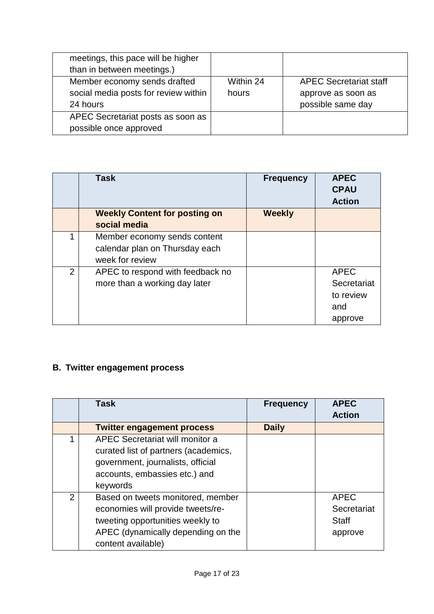| meetings, this pace will be higher   |           |                               |
|--------------------------------------|-----------|-------------------------------|
| than in between meetings.)           |           |                               |
| Member economy sends drafted         | Within 24 | <b>APEC Secretariat staff</b> |
| social media posts for review within | hours     | approve as soon as            |
| 24 hours                             |           | possible same day             |
| APEC Secretariat posts as soon as    |           |                               |
| possible once approved               |           |                               |

|                | <b>Task</b>                                                                       | <b>Frequency</b> | <b>APEC</b><br><b>CPAU</b><br><b>Action</b>               |
|----------------|-----------------------------------------------------------------------------------|------------------|-----------------------------------------------------------|
|                | <b>Weekly Content for posting on</b><br>social media                              | <b>Weekly</b>    |                                                           |
|                | Member economy sends content<br>calendar plan on Thursday each<br>week for review |                  |                                                           |
| $\overline{2}$ | APEC to respond with feedback no<br>more than a working day later                 |                  | <b>APEC</b><br>Secretariat<br>to review<br>and<br>approve |

# **B. Twitter engagement process**

|                | <b>Task</b>                                                                                                                                                            | <b>Frequency</b> | <b>APEC</b>                                           |
|----------------|------------------------------------------------------------------------------------------------------------------------------------------------------------------------|------------------|-------------------------------------------------------|
|                |                                                                                                                                                                        |                  | <b>Action</b>                                         |
|                | <b>Twitter engagement process</b>                                                                                                                                      | <b>Daily</b>     |                                                       |
|                | APEC Secretariat will monitor a<br>curated list of partners (academics,<br>government, journalists, official<br>accounts, embassies etc.) and<br>keywords              |                  |                                                       |
| $\overline{2}$ | Based on tweets monitored, member<br>economies will provide tweets/re-<br>tweeting opportunities weekly to<br>APEC (dynamically depending on the<br>content available) |                  | <b>APEC</b><br>Secretariat<br><b>Staff</b><br>approve |